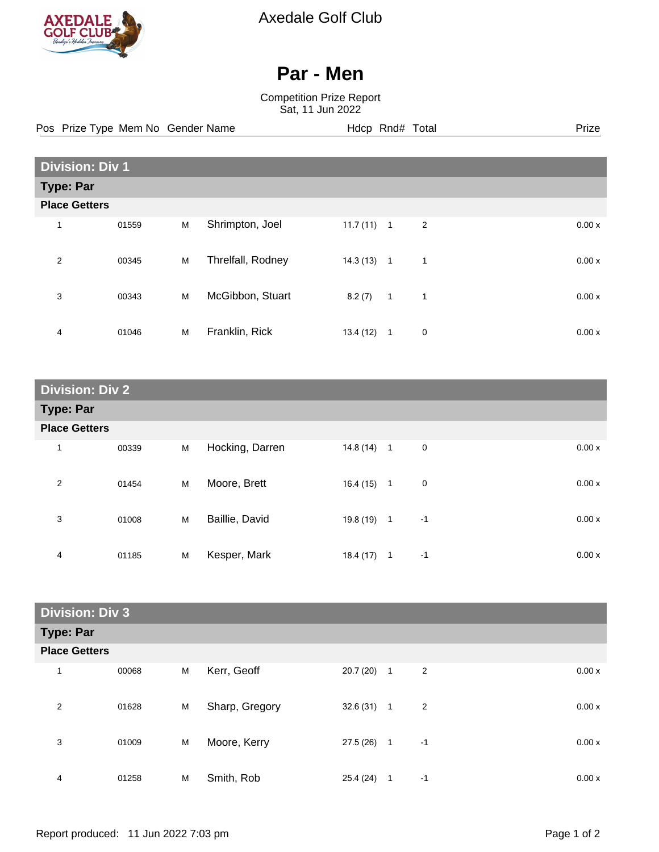

Axedale Golf Club

## **Par - Men**

Competition Prize Report Sat, 11 Jun 2022

Pos Prize Type Mem No Gender Name **Hdcp Rnd# Total** Prize Prize

| <b>Division: Div 1</b> |       |   |                   |          |                |                |       |
|------------------------|-------|---|-------------------|----------|----------------|----------------|-------|
| Type: Par              |       |   |                   |          |                |                |       |
| <b>Place Getters</b>   |       |   |                   |          |                |                |       |
| 1                      | 01559 | M | Shrimpton, Joel   | 11.7(11) | $\overline{1}$ | $\overline{2}$ | 0.00x |
| 2                      | 00345 | M | Threlfall, Rodney | 14.3(13) | $\overline{1}$ | 1              | 0.00x |
| 3                      | 00343 | M | McGibbon, Stuart  | 8.2(7)   | $\overline{1}$ | $\mathbf{1}$   | 0.00x |
| 4                      | 01046 | M | Franklin, Rick    | 13.4(12) | $\mathbf{1}$   | 0              | 0.00x |

| <b>Division: Div 2</b> |                      |   |                 |              |                     |       |  |
|------------------------|----------------------|---|-----------------|--------------|---------------------|-------|--|
| <b>Type: Par</b>       |                      |   |                 |              |                     |       |  |
|                        | <b>Place Getters</b> |   |                 |              |                     |       |  |
| 1                      | 00339                | M | Hocking, Darren | $14.8(14)$ 1 | $\mathbf 0$         | 0.00x |  |
| 2                      | 01454                | M | Moore, Brett    | $16.4(15)$ 1 | 0                   | 0.00x |  |
| 3                      | 01008                | M | Baillie, David  | $19.8(19)$ 1 | $-1$                | 0.00x |  |
| 4                      | 01185                | M | Kesper, Mark    | 18.4 (17)    | $-1$<br>$\mathbf 1$ | 0.00x |  |

| <b>Division: Div 3</b> |                      |   |                |              |              |                |       |
|------------------------|----------------------|---|----------------|--------------|--------------|----------------|-------|
| <b>Type: Par</b>       |                      |   |                |              |              |                |       |
|                        | <b>Place Getters</b> |   |                |              |              |                |       |
| 1                      | 00068                | M | Kerr, Geoff    | 20.7 (20)    | $\mathbf{1}$ | $\overline{c}$ | 0.00x |
| 2                      | 01628                | M | Sharp, Gregory | $32.6(31)$ 1 |              | $\overline{2}$ | 0.00x |
| 3                      | 01009                | M | Moore, Kerry   | $27.5(26)$ 1 |              | $-1$           | 0.00x |
| 4                      | 01258                | M | Smith, Rob     | 25.4 (24)    | 1            | -1             | 0.00x |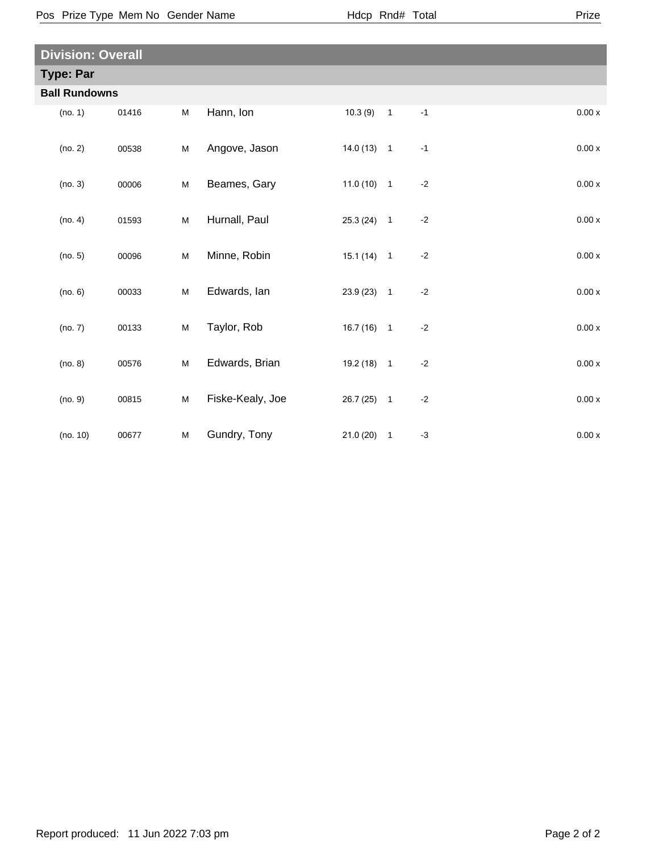Pos Prize Type Mem No Gender Name **Health Hotal** Hdcp Rnd# Total

| <b>Division: Overall</b> |       |   |                  |              |                            |      |        |
|--------------------------|-------|---|------------------|--------------|----------------------------|------|--------|
| <b>Type: Par</b>         |       |   |                  |              |                            |      |        |
| <b>Ball Rundowns</b>     |       |   |                  |              |                            |      |        |
| (no. 1)                  | 01416 | M | Hann, Ion        | 10.3(9)      | $\overline{\phantom{0}}$ 1 | $-1$ | 0.00x  |
| (no. 2)                  | 00538 | M | Angove, Jason    | $14.0(13)$ 1 |                            | $-1$ | 0.00x  |
| (no. 3)                  | 00006 | M | Beames, Gary     | $11.0(10)$ 1 |                            | $-2$ | 0.00x  |
| (no. 4)                  | 01593 | M | Hurnall, Paul    | $25.3(24)$ 1 |                            | $-2$ | 0.00x  |
| (no. 5)                  | 00096 | M | Minne, Robin     | $15.1(14)$ 1 |                            | $-2$ | 0.00x  |
| (no. 6)                  | 00033 | M | Edwards, Ian     | $23.9(23)$ 1 |                            | $-2$ | 0.00 x |
| (no. 7)                  | 00133 | M | Taylor, Rob      | $16.7(16)$ 1 |                            | $-2$ | 0.00x  |
| (no. 8)                  | 00576 | M | Edwards, Brian   | $19.2(18)$ 1 |                            | $-2$ | 0.00 x |
| (no. 9)                  | 00815 | M | Fiske-Kealy, Joe | $26.7(25)$ 1 |                            | $-2$ | 0.00 x |
| (no. 10)                 | 00677 | M | Gundry, Tony     | $21.0(20)$ 1 |                            | $-3$ | 0.00x  |